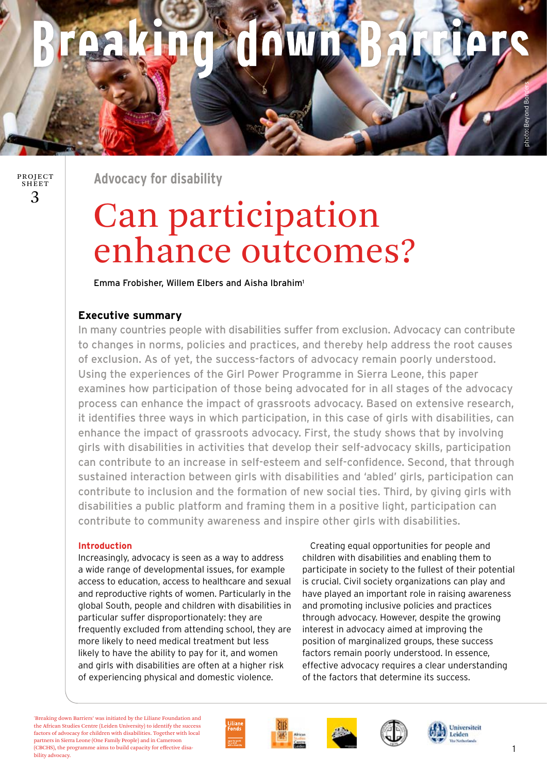# **OWD**

3 PROJECT **SHEET** 

**Advocacy for disability**

# Can participation enhance outcomes?

Emma Frobisher, Willem Elbers and Aisha Ibrahim1

## **Executive summary**

In many countries people with disabilities suffer from exclusion. Advocacy can contribute to changes in norms, policies and practices, and thereby help address the root causes of exclusion. As of yet, the success-factors of advocacy remain poorly understood. Using the experiences of the Girl Power Programme in Sierra Leone, this paper examines how participation of those being advocated for in all stages of the advocacy process can enhance the impact of grassroots advocacy. Based on extensive research, it identifies three ways in which participation, in this case of girls with disabilities, can enhance the impact of grassroots advocacy. First, the study shows that by involving girls with disabilities in activities that develop their self-advocacy skills, participation can contribute to an increase in self-esteem and self-confidence. Second, that through sustained interaction between girls with disabilities and 'abled' girls, participation can contribute to inclusion and the formation of new social ties. Third, by giving girls with disabilities a public platform and framing them in a positive light, participation can contribute to community awareness and inspire other girls with disabilities.

### **Introduction**

Increasingly, advocacy is seen as a way to address a wide range of developmental issues, for example access to education, access to healthcare and sexual and reproductive rights of women. Particularly in the global South, people and children with disabilities in particular suffer disproportionately: they are frequently excluded from attending school, they are more likely to need medical treatment but less likely to have the ability to pay for it, and women and girls with disabilities are often at a higher risk of experiencing physical and domestic violence.

Creating equal opportunities for people and children with disabilities and enabling them to participate in society to the fullest of their potential is crucial. Civil society organizations can play and have played an important role in raising awareness and promoting inclusive policies and practices through advocacy. However, despite the growing interest in advocacy aimed at improving the position of marginalized groups, these success factors remain poorly understood. In essence, effective advocacy requires a clear understanding of the factors that determine its success.

'Breaking down Barriers' was initiated by the Liliane Foundation and the African Studies Centre (Leiden University) to identify the success factors of advocacy for children with disabilities. Together with local partners in Sierra Leone (One Family People) and in Cameroon (CBCHS), the programme aims to build capacity for effective disability advocacy.









1

photo: Beyond Borders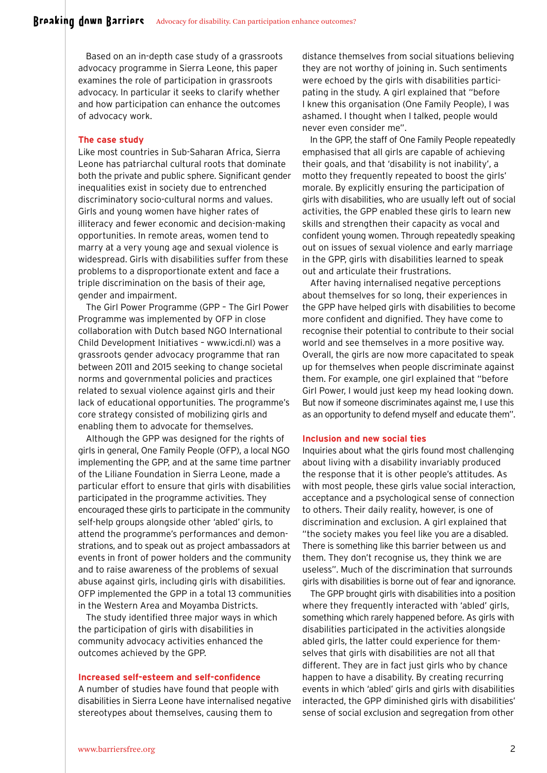Based on an in-depth case study of a grassroots advocacy programme in Sierra Leone, this paper examines the role of participation in grassroots advocacy. In particular it seeks to clarify whether and how participation can enhance the outcomes of advocacy work.

#### **The case study**

Like most countries in Sub-Saharan Africa, Sierra Leone has patriarchal cultural roots that dominate both the private and public sphere. Significant gender inequalities exist in society due to entrenched discriminatory socio-cultural norms and values. Girls and young women have higher rates of illiteracy and fewer economic and decision-making opportunities. In remote areas, women tend to marry at a very young age and sexual violence is widespread. Girls with disabilities suffer from these problems to a disproportionate extent and face a triple discrimination on the basis of their age, gender and impairment.

The Girl Power Programme (GPP – The Girl Power Programme was implemented by OFP in close collaboration with Dutch based NGO International Child Development Initiatives – www.icdi.nl) was a grassroots gender advocacy programme that ran between 2011 and 2015 seeking to change societal norms and governmental policies and practices related to sexual violence against girls and their lack of educational opportunities. The programme's core strategy consisted of mobilizing girls and enabling them to advocate for themselves.

Although the GPP was designed for the rights of girls in general, One Family People (OFP), a local NGO implementing the GPP, and at the same time partner of the Liliane Foundation in Sierra Leone, made a particular effort to ensure that girls with disabilities participated in the programme activities. They encouraged these girls to participate in the community self-help groups alongside other 'abled' girls, to attend the programme's performances and demonstrations, and to speak out as project ambassadors at events in front of power holders and the community and to raise awareness of the problems of sexual abuse against girls, including girls with disabilities. OFP implemented the GPP in a total 13 communities in the Western Area and Moyamba Districts.

The study identified three major ways in which the participation of girls with disabilities in community advocacy activities enhanced the outcomes achieved by the GPP.

#### **Increased self-esteem and self-confidence**

A number of studies have found that people with disabilities in Sierra Leone have internalised negative stereotypes about themselves, causing them to

distance themselves from social situations believing they are not worthy of joining in. Such sentiments were echoed by the girls with disabilities participating in the study. A girl explained that "before I knew this organisation (One Family People), I was ashamed. I thought when I talked, people would never even consider me".

In the GPP, the staff of One Family People repeatedly emphasised that all girls are capable of achieving their goals, and that 'disability is not inability', a motto they frequently repeated to boost the girls' morale. By explicitly ensuring the participation of girls with disabilities, who are usually left out of social activities, the GPP enabled these girls to learn new skills and strengthen their capacity as vocal and confident young women. Through repeatedly speaking out on issues of sexual violence and early marriage in the GPP, girls with disabilities learned to speak out and articulate their frustrations.

After having internalised negative perceptions about themselves for so long, their experiences in the GPP have helped girls with disabilities to become more confident and dignified. They have come to recognise their potential to contribute to their social world and see themselves in a more positive way. Overall, the girls are now more capacitated to speak up for themselves when people discriminate against them. For example, one girl explained that "before Girl Power, I would just keep my head looking down. But now if someone discriminates against me, I use this as an opportunity to defend myself and educate them".

#### **Inclusion and new social ties**

Inquiries about what the girls found most challenging about living with a disability invariably produced the response that it is other people's attitudes. As with most people, these girls value social interaction, acceptance and a psychological sense of connection to others. Their daily reality, however, is one of discrimination and exclusion. A girl explained that "the society makes you feel like you are a disabled. There is something like this barrier between us and them. They don't recognise us, they think we are useless". Much of the discrimination that surrounds girls with disabilities is borne out of fear and ignorance.

The GPP brought girls with disabilities into a position where they frequently interacted with 'abled' girls, something which rarely happened before. As girls with disabilities participated in the activities alongside abled girls, the latter could experience for themselves that girls with disabilities are not all that different. They are in fact just girls who by chance happen to have a disability. By creating recurring events in which 'abled' girls and girls with disabilities interacted, the GPP diminished girls with disabilities' sense of social exclusion and segregation from other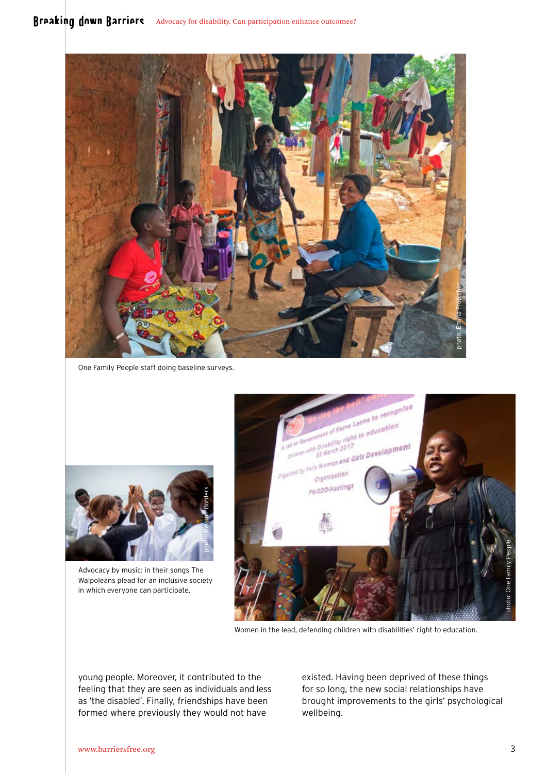

One Family People staff doing baseline surveys.



Advocacy by music: in their songs The Walpoleans plead for an inclusive society in which everyone can participate.



Women in the lead, defending children with disabilities' right to education.

young people. Moreover, it contributed to the feeling that they are seen as individuals and less as 'the disabled'. Finally, friendships have been formed where previously they would not have

existed. Having been deprived of these things for so long, the new social relationships have brought improvements to the girls' psychological wellbeing.